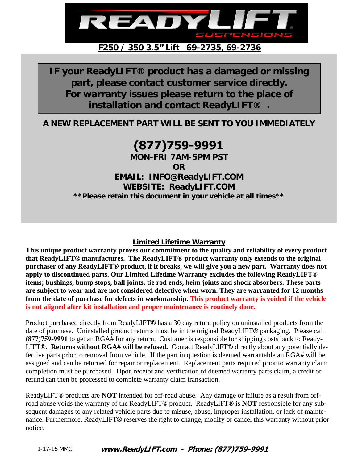

**IF your ReadyLIFT® product has a damaged or missing part, please contact customer service directly. For warranty issues please return to the place of installation and contact ReadyLIFT® .** 

**A NEW REPLACEMENT PART WILL BE SENT TO YOU IMMEDIATELY** 

# **(877)759-9991**

**MON-FRI 7AM-5PM PST** 

**OR** 

**EMAIL: INFO@ReadyLIFT.COM WEBSITE: ReadyLIFT.COM \*\*Please retain this document in your vehicle at all times\*\*** 

#### **Limited Lifetime Warranty**

**This unique product warranty proves our commitment to the quality and reliability of every product that ReadyLIFT® manufactures. The ReadyLIFT® product warranty only extends to the original purchaser of any ReadyLIFT® product, if it breaks, we will give you a new part. Warranty does not apply to discontinued parts. Our Limited Lifetime Warranty excludes the following ReadyLIFT® items; bushings, bump stops, ball joints, tie rod ends, heim joints and shock absorbers. These parts are subject to wear and are not considered defective when worn. They are warranted for 12 months from the date of purchase for defects in workmanship. This product warranty is voided if the vehicle is not aligned after kit installation and proper maintenance is routinely done.** 

Product purchased directly from ReadyLIFT**®** has a 30 day return policy on uninstalled products from the date of purchase. Uninstalled product returns must be in the original ReadyLIFT**®** packaging. Please call **(877)759-9991** to get an RGA# for any return. Customer is responsible for shipping costs back to Ready-LIFT**®**. **Returns without RGA# will be refused.** Contact ReadyLIFT**®** directly about any potentially defective parts prior to removal from vehicle. If the part in question is deemed warrantable an RGA# will be assigned and can be returned for repair or replacement. Replacement parts required prior to warranty claim completion must be purchased. Upon receipt and verification of deemed warranty parts claim, a credit or refund can then be processed to complete warranty claim transaction.

ReadyLIFT**®** products are **NOT** intended for off-road abuse. Any damage or failure as a result from offroad abuse voids the warranty of the ReadyLIFT**®** product. ReadyLIFT**®** is **NOT** responsible for any subsequent damages to any related vehicle parts due to misuse, abuse, improper installation, or lack of maintenance. Furthermore, ReadyLIFT**®** reserves the right to change, modify or cancel this warranty without prior notice.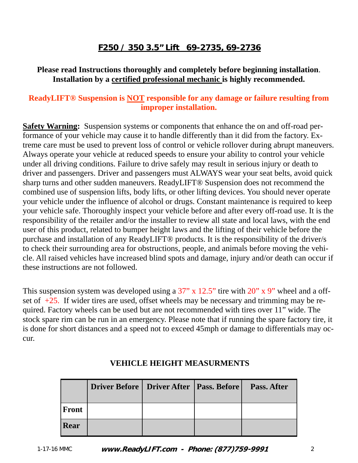### **Please read Instructions thoroughly and completely before beginning installation**. **Installation by a certified professional mechanic is highly recommended.**

### **ReadyLIFT® Suspension is NOT responsible for any damage or failure resulting from improper installation.**

**Safety Warning:** Suspension systems or components that enhance the on and off-road performance of your vehicle may cause it to handle differently than it did from the factory. Extreme care must be used to prevent loss of control or vehicle rollover during abrupt maneuvers. Always operate your vehicle at reduced speeds to ensure your ability to control your vehicle under all driving conditions. Failure to drive safely may result in serious injury or death to driver and passengers. Driver and passengers must ALWAYS wear your seat belts, avoid quick sharp turns and other sudden maneuvers. ReadyLIFT® Suspension does not recommend the combined use of suspension lifts, body lifts, or other lifting devices. You should never operate your vehicle under the influence of alcohol or drugs. Constant maintenance is required to keep your vehicle safe. Thoroughly inspect your vehicle before and after every off-road use. It is the responsibility of the retailer and/or the installer to review all state and local laws, with the end user of this product, related to bumper height laws and the lifting of their vehicle before the purchase and installation of any ReadyLIFT® products. It is the responsibility of the driver/s to check their surrounding area for obstructions, people, and animals before moving the vehicle. All raised vehicles have increased blind spots and damage, injury and/or death can occur if these instructions are not followed.

This suspension system was developed using a  $37$ " x  $12.5$ " tire with  $20$ " x  $9$ " wheel and a offset of  $+25$ . If wider tires are used, offset wheels may be necessary and trimming may be required. Factory wheels can be used but are not recommended with tires over 11" wide. The stock spare rim can be run in an emergency. Please note that if running the spare factory tire, it is done for short distances and a speed not to exceed 45mph or damage to differentials may occur.

|       | Driver Before   Driver After   Pass. Before |  | <b>Pass. After</b> |
|-------|---------------------------------------------|--|--------------------|
| Front |                                             |  |                    |
| Rear  |                                             |  |                    |

### **VEHICLE HEIGHT MEASURMENTS**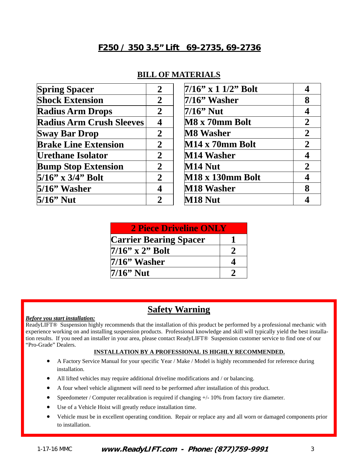| <b>Spring Spacer</b>            | $\overline{2}$ | $7/16$ " x 1 1/2" Bolt  |                |
|---------------------------------|----------------|-------------------------|----------------|
| <b>Shock Extension</b>          | $\overline{2}$ | $7/16$ " Washer         | 8              |
| <b>Radius Arm Drops</b>         | $\overline{2}$ | $7/16$ " Nut            | 4              |
| <b>Radius Arm Crush Sleeves</b> |                | M8 x 70mm Bolt          | $\mathbf{2}$   |
| <b>Sway Bar Drop</b>            | $\mathbf 2$    | <b>M8 Washer</b>        | $\overline{2}$ |
| <b>Brake Line Extension</b>     | $\overline{2}$ | M14 x 70mm Bolt         | $\overline{2}$ |
| <b>Urethane Isolator</b>        | $\overline{2}$ | M14 Washer              |                |
| <b>Bump Stop Extension</b>      | $\overline{2}$ | M14 Nut                 | $\overline{2}$ |
| $5/16$ " x 3/4" Bolt            | $\overline{2}$ | <b>M18 x 130mm Bolt</b> |                |
| 5/16" Washer                    |                | M18 Washer              | 8              |
| $5/16$ " Nut                    | $\mathbf 2$    | M18 Nut                 |                |

#### **BILL OF MATERIALS**

| <b>2 Piece Driveline ONLY</b> |  |  |  |  |
|-------------------------------|--|--|--|--|
| <b>Carrier Bearing Spacer</b> |  |  |  |  |
| $7/16$ " x 2" Bolt            |  |  |  |  |
| $7/16$ " Washer               |  |  |  |  |
| $7/16$ <sup>"</sup> Nut       |  |  |  |  |

### **Safety Warning**

#### *Before you start installation:*

ReadyLIFT® Suspension highly recommends that the installation of this product be performed by a professional mechanic with experience working on and installing suspension products. Professional knowledge and skill will typically yield the best installation results. If you need an installer in your area, please contact ReadyLIFT® Suspension customer service to find one of our "Pro-Grade" Dealers.

#### **INSTALLATION BY A PROFESSIONAL IS HIGHLY RECOMMENDED.**

- A Factory Service Manual for your specific Year / Make / Model is highly recommended for reference during installation.
- All lifted vehicles may require additional driveline modifications and / or balancing.
- A four wheel vehicle alignment will need to be performed after installation of this product.
- Speedometer / Computer recalibration is required if changing +/- 10% from factory tire diameter.
- Use of a Vehicle Hoist will greatly reduce installation time.
- Vehicle must be in excellent operating condition. Repair or replace any and all worn or damaged components prior to installation.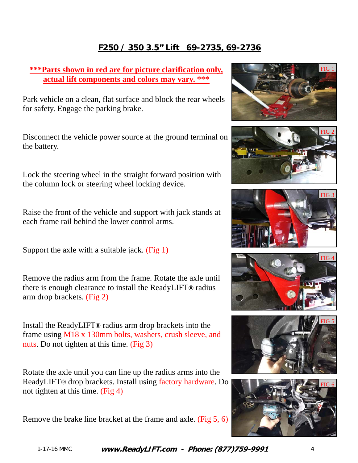### **\*\*\*Parts shown in red are for picture clarification only, actual lift components and colors may vary. \*\*\***

Park vehicle on a clean, flat surface and block the rear wheels for safety. Engage the parking brake.

Disconnect the vehicle power source at the ground terminal on the battery.

Lock the steering wheel in the straight forward position with the column lock or steering wheel locking device.

Raise the front of the vehicle and support with jack stands at each frame rail behind the lower control arms.

Support the axle with a suitable jack. (Fig 1)

Remove the radius arm from the frame. Rotate the axle until there is enough clearance to install the ReadyLIFT**®** radius arm drop brackets. (Fig 2)

Install the ReadyLIFT**®** radius arm drop brackets into the frame using M18 x 130mm bolts, washers, crush sleeve, and nuts. Do not tighten at this time. (Fig 3)

Rotate the axle until you can line up the radius arms into the ReadyLIFT**®** drop brackets. Install using factory hardware. Do not tighten at this time. (Fig 4)

Remove the brake line bracket at the frame and axle. (Fig 5, 6)











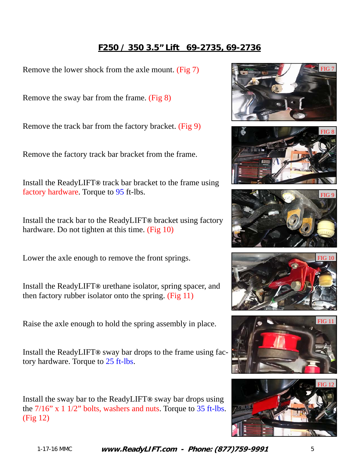Remove the lower shock from the axle mount. (Fig 7)

Remove the sway bar from the frame. (Fig 8)

Remove the track bar from the factory bracket. (Fig 9)

Remove the factory track bar bracket from the frame.

Install the ReadyLIFT**®** track bar bracket to the frame using factory hardware. Torque to 95 ft-lbs.

Install the track bar to the ReadyLIFT**®** bracket using factory hardware. Do not tighten at this time. (Fig 10)

Lower the axle enough to remove the front springs.

Install the ReadyLIFT**®** urethane isolator, spring spacer, and then factory rubber isolator onto the spring.  $(Fig 11)$ 

Raise the axle enough to hold the spring assembly in place.

Install the ReadyLIFT**®** sway bar drops to the frame using factory hardware. Torque to 25 ft-lbs.

Install the sway bar to the ReadyLIFT**®** sway bar drops using the 7/16" x 1 1/2" bolts, washers and nuts. Torque to 35 ft-lbs. (Fig 12)











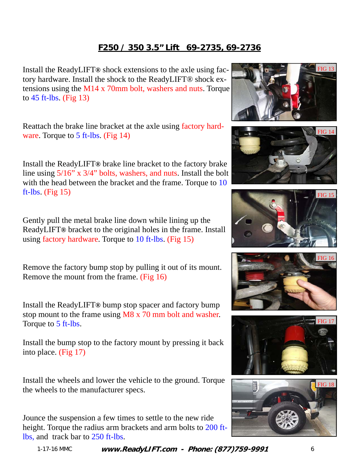Install the ReadyLIFT**®** shock extensions to the axle using factory hardware. Install the shock to the ReadyLIFT® shock extensions using the M14 x 70mm bolt, washers and nuts. Torque to  $45$  ft-lbs. (Fig 13)

Reattach the brake line bracket at the axle using factory hardware. Torque to 5 ft-lbs. (Fig 14)

Install the ReadyLIFT**®** brake line bracket to the factory brake line using 5/16" x 3/4" bolts, washers, and nuts. Install the bolt with the head between the bracket and the frame. Torque to 10 ft-lbs. (Fig  $15$ )

Gently pull the metal brake line down while lining up the ReadyLIFT**®** bracket to the original holes in the frame. Install using factory hardware. Torque to 10 ft-lbs. (Fig 15)

Remove the factory bump stop by pulling it out of its mount. Remove the mount from the frame. (Fig 16)

Install the ReadyLIFT**®** bump stop spacer and factory bump stop mount to the frame using M8 x 70 mm bolt and washer. Torque to 5 ft-lbs.

Install the bump stop to the factory mount by pressing it back into place. (Fig 17)

Install the wheels and lower the vehicle to the ground. Torque the wheels to the manufacturer specs.

Jounce the suspension a few times to settle to the new ride height. Torque the radius arm brackets and arm bolts to 200 ftlbs, and track bar to 250 ft-lbs.











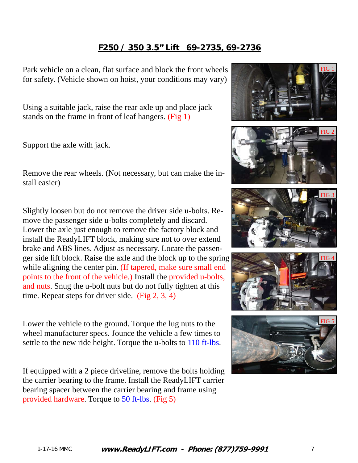Park vehicle on a clean, flat surface and block the front wheels for safety. (Vehicle shown on hoist, your conditions may vary)

Using a suitable jack, raise the rear axle up and place jack stands on the frame in front of leaf hangers. (Fig 1)

Support the axle with jack.

Remove the rear wheels. (Not necessary, but can make the install easier)

Slightly loosen but do not remove the driver side u-bolts. Remove the passenger side u-bolts completely and discard. Lower the axle just enough to remove the factory block and install the ReadyLIFT block, making sure not to over extend brake and ABS lines. Adjust as necessary. Locate the passenger side lift block. Raise the axle and the block up to the spring while aligning the center pin. (If tapered, make sure small end points to the front of the vehicle.) Install the provided u-bolts, and nuts. Snug the u-bolt nuts but do not fully tighten at this time. Repeat steps for driver side. (Fig 2, 3, 4)

Lower the vehicle to the ground. Torque the lug nuts to the wheel manufacturer specs. Jounce the vehicle a few times to settle to the new ride height. Torque the u-bolts to 110 ft-lbs.

If equipped with a 2 piece driveline, remove the bolts holding the carrier bearing to the frame. Install the ReadyLIFT carrier bearing spacer between the carrier bearing and frame using provided hardware. Torque to 50 ft-lbs. (Fig 5)